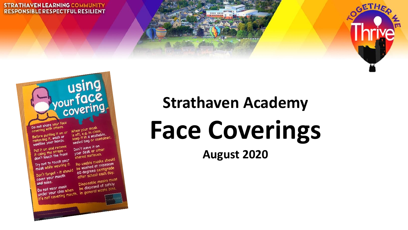#### **STRATHAVEN LEARNING COMMUNITY RESPONSIBLE RESPECTFUL RESILIENT**

after school<br>Disposable masks must<br>be **disposed** of safely<br>be **disposed** waste bins. Do not wear mask Do not wear mask<br>under your chin when the disposed of saleirs.<br>It's not covering mouth. in general waste bins. Do not wear mush<br>under your chin when<br>covering mouth

Don't forget mouth and nose.

shared surface<br>Re-usable masks should Try not to touch your<br>mask while wearing it. Re-usable masks<br>be washed at minimum be washed at minimum<br>60 degrees centigrade Don't forget - it should

sammed the straps  $\frac{1}{2}$ . Put it on and remove<br>it using the straps –<br>don't touch the front.

Do not share your face Do not share your last<br>covering with others. sovering mind it on or<br>Before putting it on or Before putting it.<br>removing it, wash or removing IT, washing

When your mask When your mush<br>is off, e.g. in class,<br>it in a washabl is off, e.g. in class,<br>keep it in a washable,<br>keep it in a or contains s off, or a washaple,<br>sealed bag or container. Don't leave it on

Don't leave it on<br>your desk or other<br>your deurfaces.

your desk of case.

60 degrees centry.

using<br>your face<br>covering

**Strathaven Academy**

# **Face Coverings**

**August 2020** 



GETHE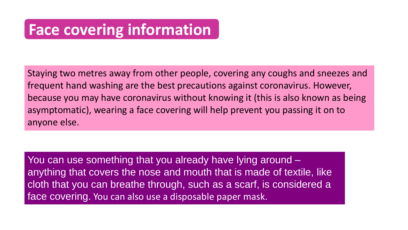### **Face covering information**

Staying two metres away from other people, covering any coughs and sneezes and frequent hand washing are the best precautions against coronavirus. However, because you may have coronavirus without knowing it (this is also known as being asymptomatic), wearing a face covering will help prevent you passing it on to anyone else.

You can use something that you already have lying around – anything that covers the nose and mouth that is made of textile, like cloth that you can breathe through, such as a scarf, is considered a face covering. You can also use a disposable paper mask.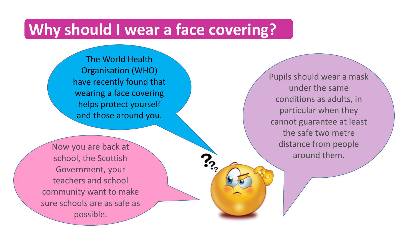#### **Why should I wear a face covering?**

The World Health Organisation (WHO) have recently found that wearing a face covering helps protect yourself and those around you.

Pupils should wear a mask under the same conditions as adults, in particular when they cannot guarantee at least the safe two metre distance from people around them.

Now you are back at school, the Scottish Government, your teachers and school community want to make sure schools are as safe as possible.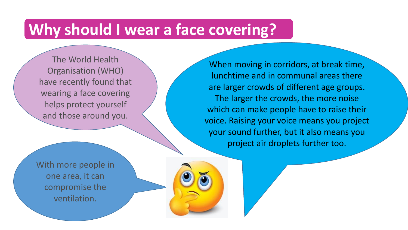#### **Why should I wear a face covering?**

The World Health Organisation (WHO) have recently found that wearing a face covering helps protect yourself and those around you.

When moving in corridors, at break time, lunchtime and in communal areas there are larger crowds of different age groups. The larger the crowds, the more noise which can make people have to raise their voice. Raising your voice means you project your sound further, but it also means you project air droplets further too.

With more people in one area, it can compromise the ventilation.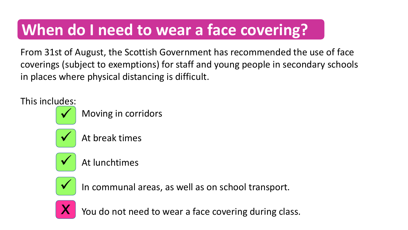# **When do I need to wear a face covering?**

From 31st of August, the Scottish Government has recommended the use of face coverings (subject to exemptions) for staff and young people in secondary schools in places where physical distancing is difficult.

This includes:



Moving in corridors



At break times



At lunchtimes



In communal areas, as well as on school transport.



You do not need to wear a face covering during class.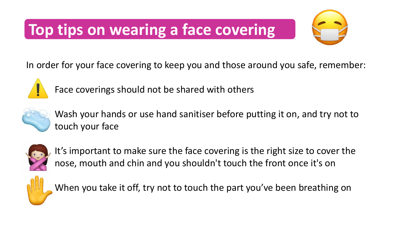# **Top tips on wearing a face covering**



In order for your face covering to keep you and those around you safe, remember:



Face coverings should not be shared with others



Wash your hands or use hand sanitiser before putting it on, and try not to touch your face



It's important to make sure the face covering is the right size to cover the nose, mouth and chin and you shouldn't touch the front once it's on



When you take it off, try not to touch the part you've been breathing on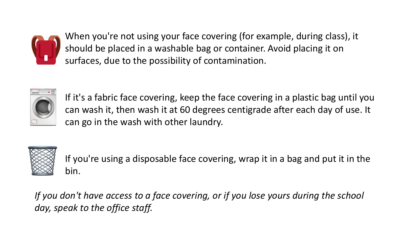When you're not using your face covering (for example, during class), it should be placed in a washable bag or container. Avoid placing it on surfaces, due to the possibility of contamination.



If it's a fabric face covering, keep the face covering in a plastic bag until you can wash it, then wash it at 60 degrees centigrade after each day of use. It can go in the wash with other laundry.



If you're using a disposable face covering, wrap it in a bag and put it in the bin.

*If you don't have access to a face covering, or if you lose yours during the school day, speak to the office staff.*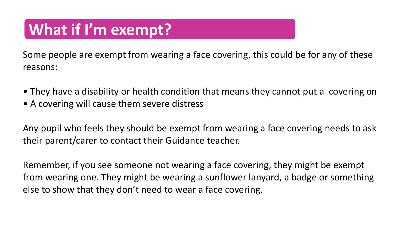## **What if I'm exempt?**

Some people are exempt from wearing a face covering, this could be for any of these reasons:

- They have a disability or health condition that means they cannot put a covering on
- A covering will cause them severe distress

Any pupil who feels they should be exempt from wearing a face covering needs to ask their parent/carer to contact their Guidance teacher.

Remember, if you see someone not wearing a face covering, they might be exempt from wearing one. They might be wearing a sunflower lanyard, a badge or something else to show that they don't need to wear a face covering.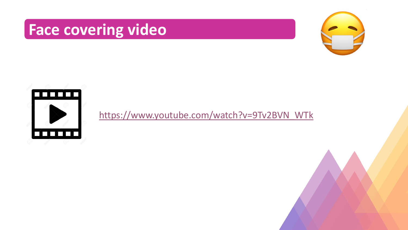### **Face covering video**





[https://www.youtube.com/watch?v=9Tv2BVN\\_WTk](https://www.youtube.com/watch?v=9Tv2BVN_WTk)